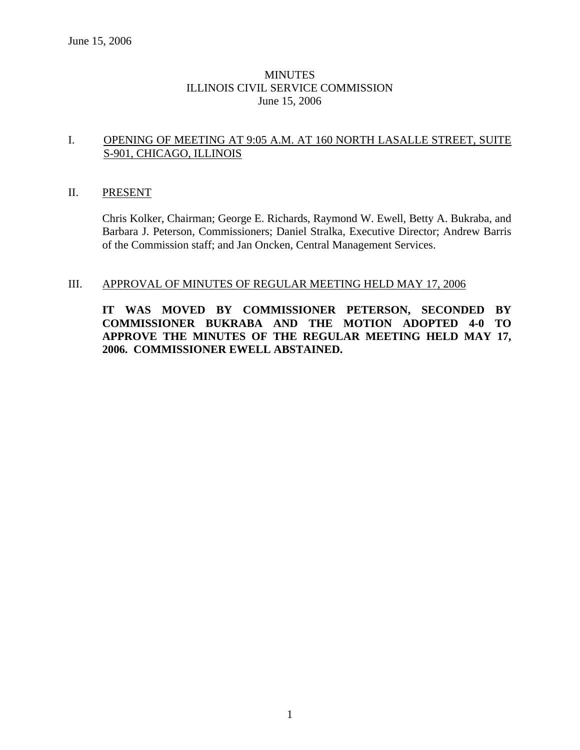## **MINUTES** ILLINOIS CIVIL SERVICE COMMISSION June 15, 2006

## I. OPENING OF MEETING AT 9:05 A.M. AT 160 NORTH LASALLE STREET, SUITE S-901, CHICAGO, ILLINOIS

#### II. PRESENT

Chris Kolker, Chairman; George E. Richards, Raymond W. Ewell, Betty A. Bukraba, and Barbara J. Peterson, Commissioners; Daniel Stralka, Executive Director; Andrew Barris of the Commission staff; and Jan Oncken, Central Management Services.

#### III. APPROVAL OF MINUTES OF REGULAR MEETING HELD MAY 17, 2006

**IT WAS MOVED BY COMMISSIONER PETERSON, SECONDED BY COMMISSIONER BUKRABA AND THE MOTION ADOPTED 4-0 TO APPROVE THE MINUTES OF THE REGULAR MEETING HELD MAY 17, 2006. COMMISSIONER EWELL ABSTAINED.**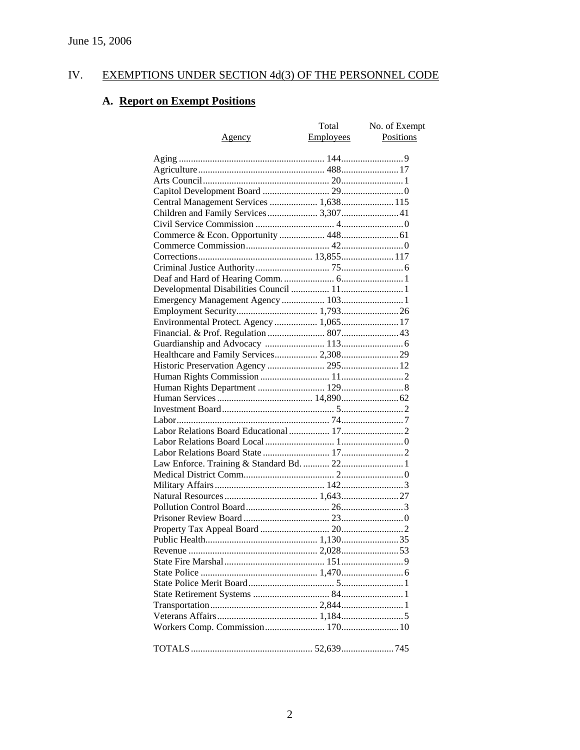# IV. EXEMPTIONS UNDER SECTION 4d(3) OF THE PERSONNEL CODE

# **A. Report on Exempt Positions**

|                                         | Total     | No. of Exempt |
|-----------------------------------------|-----------|---------------|
| <u>Agency</u>                           | Employees | Positions     |
|                                         |           |               |
|                                         |           |               |
|                                         |           |               |
|                                         |           |               |
|                                         |           |               |
| Central Management Services  1,638 115  |           |               |
| Children and Family Services 3,307 41   |           |               |
|                                         |           |               |
|                                         |           |               |
|                                         |           |               |
|                                         |           |               |
|                                         |           |               |
|                                         |           |               |
|                                         |           |               |
|                                         |           |               |
|                                         |           |               |
| Environmental Protect. Agency  1,065 17 |           |               |
|                                         |           |               |
|                                         |           |               |
| Healthcare and Family Services 2,308 29 |           |               |
|                                         |           |               |
|                                         |           |               |
|                                         |           |               |
|                                         |           |               |
|                                         |           |               |
|                                         |           |               |
|                                         |           |               |
|                                         |           |               |
|                                         |           |               |
|                                         |           |               |
|                                         |           |               |
|                                         |           |               |
|                                         |           |               |
|                                         |           |               |
|                                         |           |               |
|                                         |           |               |
|                                         |           |               |
|                                         |           |               |
|                                         |           |               |
|                                         |           |               |
|                                         |           |               |
|                                         |           |               |
|                                         |           |               |
|                                         |           |               |
|                                         |           |               |
|                                         |           |               |
|                                         |           |               |
|                                         |           |               |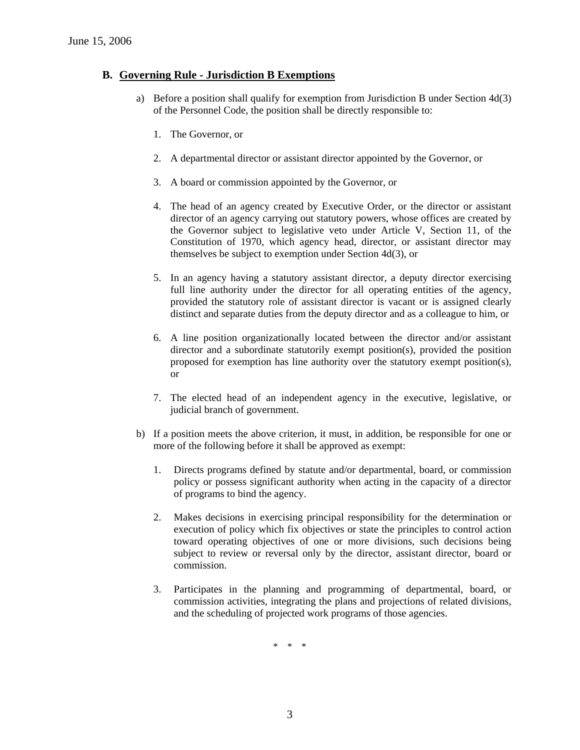### **B. Governing Rule - Jurisdiction B Exemptions**

- a) Before a position shall qualify for exemption from Jurisdiction B under Section 4d(3) of the Personnel Code, the position shall be directly responsible to:
	- 1. The Governor, or
	- 2. A departmental director or assistant director appointed by the Governor, or
	- 3. A board or commission appointed by the Governor, or
	- 4. The head of an agency created by Executive Order, or the director or assistant director of an agency carrying out statutory powers, whose offices are created by the Governor subject to legislative veto under Article V, Section 11, of the Constitution of 1970, which agency head, director, or assistant director may themselves be subject to exemption under Section 4d(3), or
	- 5. In an agency having a statutory assistant director, a deputy director exercising full line authority under the director for all operating entities of the agency, provided the statutory role of assistant director is vacant or is assigned clearly distinct and separate duties from the deputy director and as a colleague to him, or
	- 6. A line position organizationally located between the director and/or assistant director and a subordinate statutorily exempt position(s), provided the position proposed for exemption has line authority over the statutory exempt position(s), or
	- 7. The elected head of an independent agency in the executive, legislative, or judicial branch of government.
- b) If a position meets the above criterion, it must, in addition, be responsible for one or more of the following before it shall be approved as exempt:
	- 1. Directs programs defined by statute and/or departmental, board, or commission policy or possess significant authority when acting in the capacity of a director of programs to bind the agency.
	- 2. Makes decisions in exercising principal responsibility for the determination or execution of policy which fix objectives or state the principles to control action toward operating objectives of one or more divisions, such decisions being subject to review or reversal only by the director, assistant director, board or commission.
	- 3. Participates in the planning and programming of departmental, board, or commission activities, integrating the plans and projections of related divisions, and the scheduling of projected work programs of those agencies.

\* \* \*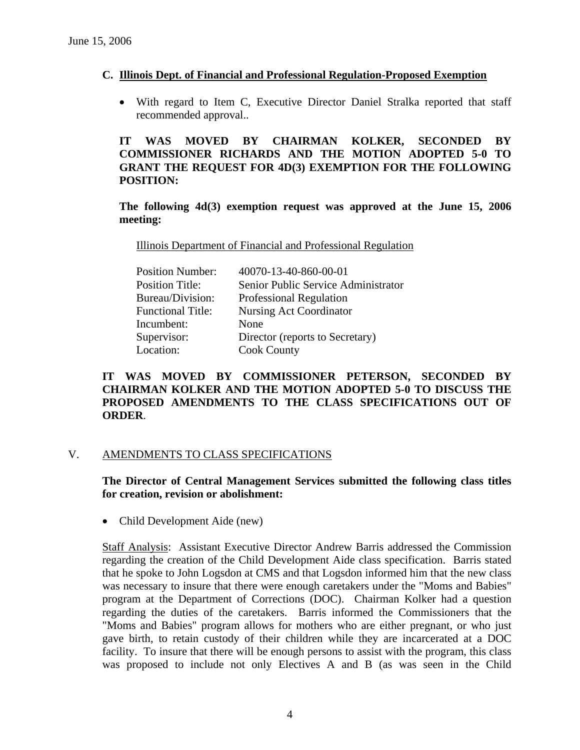### **C. Illinois Dept. of Financial and Professional Regulation-Proposed Exemption**

• With regard to Item C, Executive Director Daniel Stralka reported that staff recommended approval..

## **IT WAS MOVED BY CHAIRMAN KOLKER, SECONDED BY COMMISSIONER RICHARDS AND THE MOTION ADOPTED 5-0 TO GRANT THE REQUEST FOR 4D(3) EXEMPTION FOR THE FOLLOWING POSITION:**

**The following 4d(3) exemption request was approved at the June 15, 2006 meeting:** 

Illinois Department of Financial and Professional Regulation

| 40070-13-40-860-00-01               |
|-------------------------------------|
| Senior Public Service Administrator |
| Professional Regulation             |
| Nursing Act Coordinator             |
| None                                |
| Director (reports to Secretary)     |
| <b>Cook County</b>                  |
|                                     |

## **IT WAS MOVED BY COMMISSIONER PETERSON, SECONDED BY CHAIRMAN KOLKER AND THE MOTION ADOPTED 5-0 TO DISCUSS THE PROPOSED AMENDMENTS TO THE CLASS SPECIFICATIONS OUT OF ORDER**.

#### V. AMENDMENTS TO CLASS SPECIFICATIONS

**The Director of Central Management Services submitted the following class titles for creation, revision or abolishment:**

• Child Development Aide (new)

Staff Analysis: Assistant Executive Director Andrew Barris addressed the Commission regarding the creation of the Child Development Aide class specification. Barris stated that he spoke to John Logsdon at CMS and that Logsdon informed him that the new class was necessary to insure that there were enough caretakers under the "Moms and Babies" program at the Department of Corrections (DOC). Chairman Kolker had a question regarding the duties of the caretakers. Barris informed the Commissioners that the "Moms and Babies" program allows for mothers who are either pregnant, or who just gave birth, to retain custody of their children while they are incarcerated at a DOC facility. To insure that there will be enough persons to assist with the program, this class was proposed to include not only Electives A and B (as was seen in the Child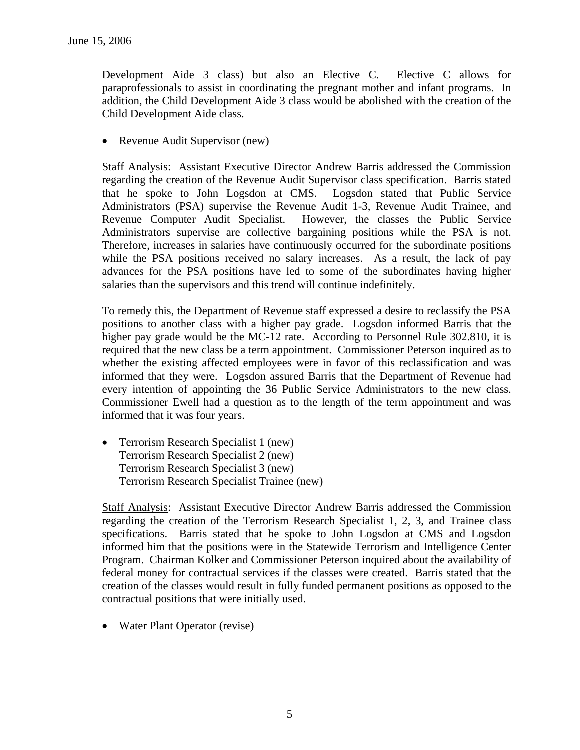Development Aide 3 class) but also an Elective C. Elective C allows for paraprofessionals to assist in coordinating the pregnant mother and infant programs. In addition, the Child Development Aide 3 class would be abolished with the creation of the Child Development Aide class.

• Revenue Audit Supervisor (new)

Staff Analysis: Assistant Executive Director Andrew Barris addressed the Commission regarding the creation of the Revenue Audit Supervisor class specification. Barris stated that he spoke to John Logsdon at CMS. Logsdon stated that Public Service Administrators (PSA) supervise the Revenue Audit 1-3, Revenue Audit Trainee, and Revenue Computer Audit Specialist. However, the classes the Public Service Administrators supervise are collective bargaining positions while the PSA is not. Therefore, increases in salaries have continuously occurred for the subordinate positions while the PSA positions received no salary increases. As a result, the lack of pay advances for the PSA positions have led to some of the subordinates having higher salaries than the supervisors and this trend will continue indefinitely.

To remedy this, the Department of Revenue staff expressed a desire to reclassify the PSA positions to another class with a higher pay grade. Logsdon informed Barris that the higher pay grade would be the MC-12 rate. According to Personnel Rule 302.810, it is required that the new class be a term appointment. Commissioner Peterson inquired as to whether the existing affected employees were in favor of this reclassification and was informed that they were. Logsdon assured Barris that the Department of Revenue had every intention of appointing the 36 Public Service Administrators to the new class. Commissioner Ewell had a question as to the length of the term appointment and was informed that it was four years.

• Terrorism Research Specialist 1 (new) Terrorism Research Specialist 2 (new) Terrorism Research Specialist 3 (new) Terrorism Research Specialist Trainee (new)

Staff Analysis: Assistant Executive Director Andrew Barris addressed the Commission regarding the creation of the Terrorism Research Specialist 1, 2, 3, and Trainee class specifications. Barris stated that he spoke to John Logsdon at CMS and Logsdon informed him that the positions were in the Statewide Terrorism and Intelligence Center Program. Chairman Kolker and Commissioner Peterson inquired about the availability of federal money for contractual services if the classes were created. Barris stated that the creation of the classes would result in fully funded permanent positions as opposed to the contractual positions that were initially used.

• Water Plant Operator (revise)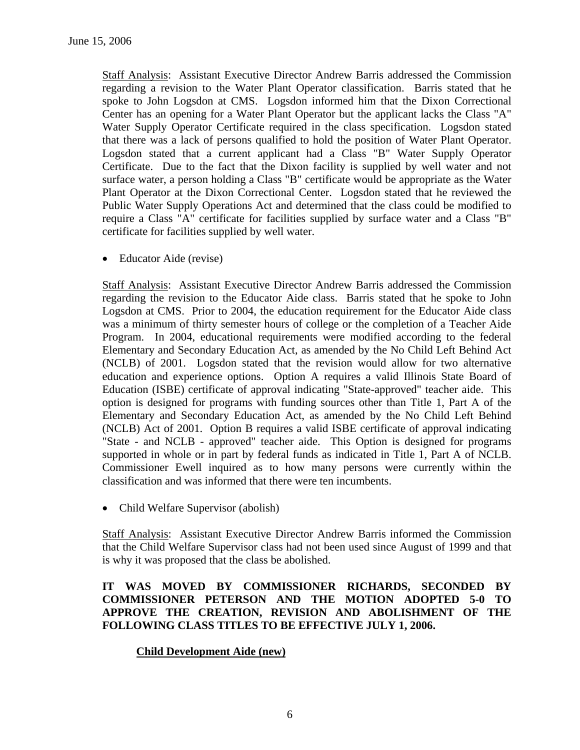Staff Analysis: Assistant Executive Director Andrew Barris addressed the Commission regarding a revision to the Water Plant Operator classification. Barris stated that he spoke to John Logsdon at CMS. Logsdon informed him that the Dixon Correctional Center has an opening for a Water Plant Operator but the applicant lacks the Class "A" Water Supply Operator Certificate required in the class specification. Logsdon stated that there was a lack of persons qualified to hold the position of Water Plant Operator. Logsdon stated that a current applicant had a Class "B" Water Supply Operator Certificate. Due to the fact that the Dixon facility is supplied by well water and not surface water, a person holding a Class "B" certificate would be appropriate as the Water Plant Operator at the Dixon Correctional Center. Logsdon stated that he reviewed the Public Water Supply Operations Act and determined that the class could be modified to require a Class "A" certificate for facilities supplied by surface water and a Class "B" certificate for facilities supplied by well water.

• Educator Aide (revise)

Staff Analysis: Assistant Executive Director Andrew Barris addressed the Commission regarding the revision to the Educator Aide class. Barris stated that he spoke to John Logsdon at CMS. Prior to 2004, the education requirement for the Educator Aide class was a minimum of thirty semester hours of college or the completion of a Teacher Aide Program. In 2004, educational requirements were modified according to the federal Elementary and Secondary Education Act, as amended by the No Child Left Behind Act (NCLB) of 2001. Logsdon stated that the revision would allow for two alternative education and experience options. Option A requires a valid Illinois State Board of Education (ISBE) certificate of approval indicating "State-approved" teacher aide. This option is designed for programs with funding sources other than Title 1, Part A of the Elementary and Secondary Education Act, as amended by the No Child Left Behind (NCLB) Act of 2001. Option B requires a valid ISBE certificate of approval indicating "State - and NCLB - approved" teacher aide. This Option is designed for programs supported in whole or in part by federal funds as indicated in Title 1, Part A of NCLB. Commissioner Ewell inquired as to how many persons were currently within the classification and was informed that there were ten incumbents.

• Child Welfare Supervisor (abolish)

Staff Analysis: Assistant Executive Director Andrew Barris informed the Commission that the Child Welfare Supervisor class had not been used since August of 1999 and that is why it was proposed that the class be abolished.

## **IT WAS MOVED BY COMMISSIONER RICHARDS, SECONDED BY COMMISSIONER PETERSON AND THE MOTION ADOPTED 5-0 TO APPROVE THE CREATION, REVISION AND ABOLISHMENT OF THE FOLLOWING CLASS TITLES TO BE EFFECTIVE JULY 1, 2006.**

## **Child Development Aide (new)**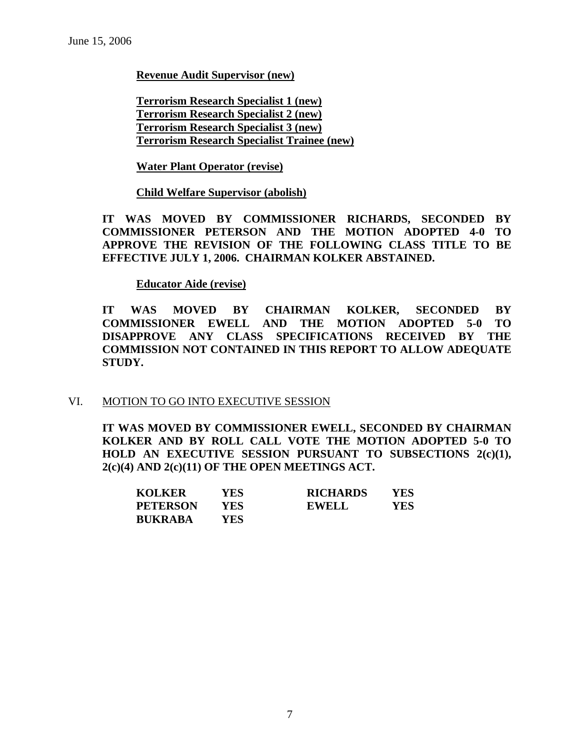### **Revenue Audit Supervisor (new)**

**Terrorism Research Specialist 1 (new) Terrorism Research Specialist 2 (new) Terrorism Research Specialist 3 (new) Terrorism Research Specialist Trainee (new)**

### **Water Plant Operator (revise)**

## **Child Welfare Supervisor (abolish)**

**IT WAS MOVED BY COMMISSIONER RICHARDS, SECONDED BY COMMISSIONER PETERSON AND THE MOTION ADOPTED 4-0 TO APPROVE THE REVISION OF THE FOLLOWING CLASS TITLE TO BE EFFECTIVE JULY 1, 2006. CHAIRMAN KOLKER ABSTAINED.** 

#### **Educator Aide (revise)**

**IT WAS MOVED BY CHAIRMAN KOLKER, SECONDED BY COMMISSIONER EWELL AND THE MOTION ADOPTED 5-0 TO DISAPPROVE ANY CLASS SPECIFICATIONS RECEIVED BY THE COMMISSION NOT CONTAINED IN THIS REPORT TO ALLOW ADEQUATE STUDY.** 

#### VI. MOTION TO GO INTO EXECUTIVE SESSION

**IT WAS MOVED BY COMMISSIONER EWELL, SECONDED BY CHAIRMAN KOLKER AND BY ROLL CALL VOTE THE MOTION ADOPTED 5-0 TO HOLD AN EXECUTIVE SESSION PURSUANT TO SUBSECTIONS 2(c)(1), 2(c)(4) AND 2(c)(11) OF THE OPEN MEETINGS ACT.** 

| <b>KOLKER</b>   | YES | <b>RICHARDS</b> | YES |
|-----------------|-----|-----------------|-----|
| <b>PETERSON</b> | YES | <b>EWELL</b>    | YES |
| <b>BUKRABA</b>  | YES |                 |     |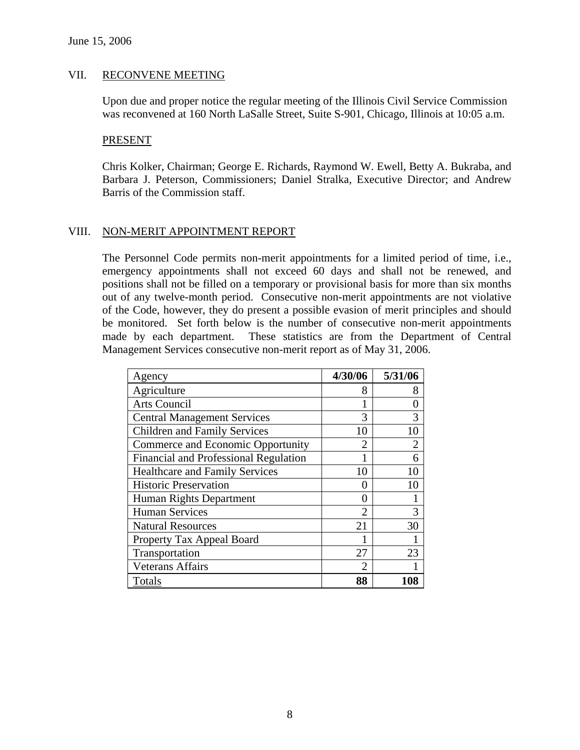#### VII. RECONVENE MEETING

Upon due and proper notice the regular meeting of the Illinois Civil Service Commission was reconvened at 160 North LaSalle Street, Suite S-901, Chicago, Illinois at 10:05 a.m.

#### PRESENT

Chris Kolker, Chairman; George E. Richards, Raymond W. Ewell, Betty A. Bukraba, and Barbara J. Peterson, Commissioners; Daniel Stralka, Executive Director; and Andrew Barris of the Commission staff.

#### VIII. NON-MERIT APPOINTMENT REPORT

The Personnel Code permits non-merit appointments for a limited period of time, i.e., emergency appointments shall not exceed 60 days and shall not be renewed, and positions shall not be filled on a temporary or provisional basis for more than six months out of any twelve-month period. Consecutive non-merit appointments are not violative of the Code, however, they do present a possible evasion of merit principles and should be monitored. Set forth below is the number of consecutive non-merit appointments made by each department. These statistics are from the Department of Central Management Services consecutive non-merit report as of May 31, 2006.

| Agency                                       | 4/30/06           | 5/31/06        |
|----------------------------------------------|-------------------|----------------|
| Agriculture                                  | 8                 | 8              |
| <b>Arts Council</b>                          |                   | 0              |
| <b>Central Management Services</b>           | 3                 | 3              |
| <b>Children and Family Services</b>          | 10                | 10             |
| Commerce and Economic Opportunity            | 2                 | $\overline{2}$ |
| <b>Financial and Professional Regulation</b> |                   | 6              |
| <b>Healthcare and Family Services</b>        | 10                | 10             |
| <b>Historic Preservation</b>                 | 0                 | 10             |
| Human Rights Department                      | $\mathbf{\Omega}$ |                |
| <b>Human Services</b>                        | $\mathfrak{D}$    | 3              |
| <b>Natural Resources</b>                     | 21                | 30             |
| Property Tax Appeal Board                    |                   |                |
| Transportation                               | 27                | 23             |
| <b>Veterans Affairs</b>                      | 2                 |                |
| Totals                                       | 88                |                |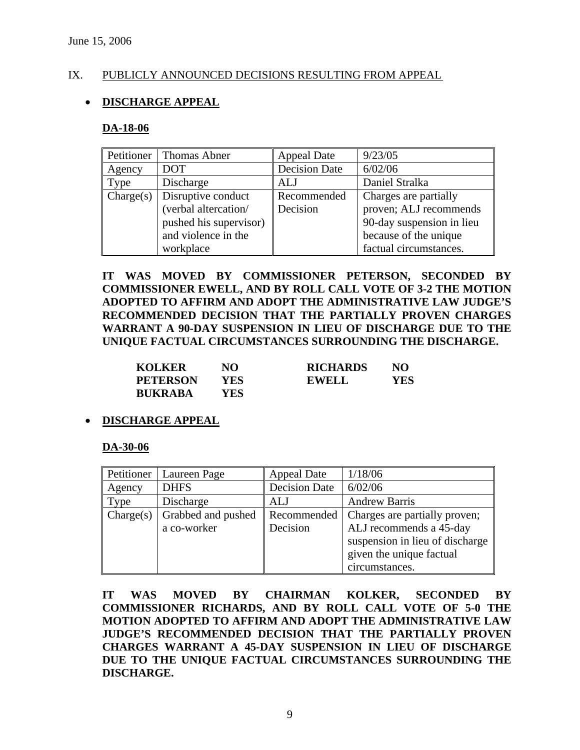### IX. PUBLICLY ANNOUNCED DECISIONS RESULTING FROM APPEAL

## • **DISCHARGE APPEAL**

#### **DA-18-06**

| Petitioner | <b>Thomas Abner</b>    | <b>Appeal Date</b>   | 9/23/05                   |
|------------|------------------------|----------------------|---------------------------|
| Agency     | <b>DOT</b>             | <b>Decision Date</b> | 6/02/06                   |
| Type       | Discharge              | ALJ                  | Daniel Stralka            |
| Change(s)  | Disruptive conduct     | Recommended          | Charges are partially     |
|            | (verbal altercation/   | Decision             | proven; ALJ recommends    |
|            | pushed his supervisor) |                      | 90-day suspension in lieu |
|            | and violence in the    |                      | because of the unique     |
|            | workplace              |                      | factual circumstances.    |

**IT WAS MOVED BY COMMISSIONER PETERSON, SECONDED BY COMMISSIONER EWELL, AND BY ROLL CALL VOTE OF 3-2 THE MOTION ADOPTED TO AFFIRM AND ADOPT THE ADMINISTRATIVE LAW JUDGE'S RECOMMENDED DECISION THAT THE PARTIALLY PROVEN CHARGES WARRANT A 90-DAY SUSPENSION IN LIEU OF DISCHARGE DUE TO THE UNIQUE FACTUAL CIRCUMSTANCES SURROUNDING THE DISCHARGE.** 

| <b>KOLKER</b>   | NO   | <b>RICHARDS</b> | NO  |
|-----------------|------|-----------------|-----|
| <b>PETERSON</b> | YES  | <b>EWELL</b>    | YES |
| <b>BUKRABA</b>  | YES. |                 |     |

#### • **DISCHARGE APPEAL**

#### **DA-30-06**

| Petitioner | Laureen Page       | <b>Appeal Date</b>   | 1/18/06                         |
|------------|--------------------|----------------------|---------------------------------|
| Agency     | <b>DHFS</b>        | <b>Decision Date</b> | 6/02/06                         |
| Type       | Discharge          | ALJ                  | <b>Andrew Barris</b>            |
| Change(s)  | Grabbed and pushed | Recommended          | Charges are partially proven;   |
|            | a co-worker        | Decision             | ALJ recommends a 45-day         |
|            |                    |                      | suspension in lieu of discharge |
|            |                    |                      | given the unique factual        |
|            |                    |                      | circumstances.                  |

**IT WAS MOVED BY CHAIRMAN KOLKER, SECONDED BY COMMISSIONER RICHARDS, AND BY ROLL CALL VOTE OF 5-0 THE MOTION ADOPTED TO AFFIRM AND ADOPT THE ADMINISTRATIVE LAW JUDGE'S RECOMMENDED DECISION THAT THE PARTIALLY PROVEN CHARGES WARRANT A 45-DAY SUSPENSION IN LIEU OF DISCHARGE DUE TO THE UNIQUE FACTUAL CIRCUMSTANCES SURROUNDING THE DISCHARGE.**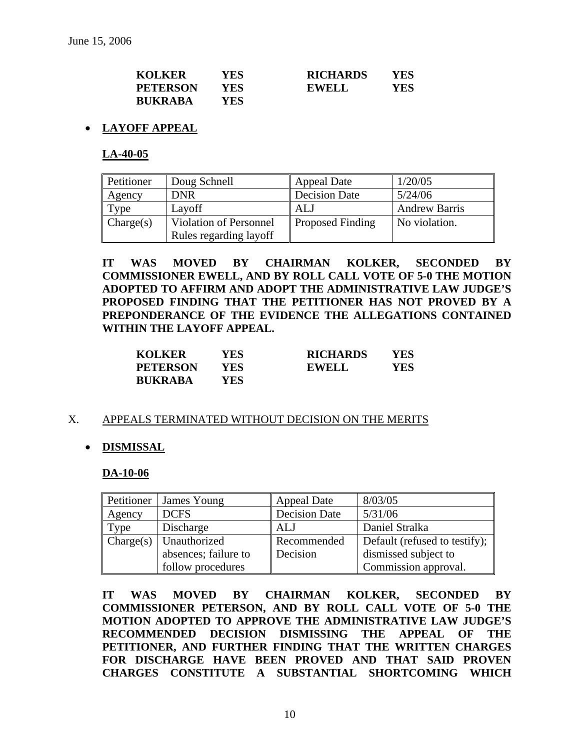| <b>KOLKER</b>   | YES  | <b>RICHARDS</b> | YES |
|-----------------|------|-----------------|-----|
| <b>PETERSON</b> | YES. | <b>EWELL</b>    | YES |
| <b>BUKRABA</b>  | YES. |                 |     |

### • **LAYOFF APPEAL**

**LA-40-05**

| Petitioner | Doug Schnell                  | <b>Appeal Date</b>      | 1/20/05              |
|------------|-------------------------------|-------------------------|----------------------|
| Agency     | <b>DNR</b>                    | <b>Decision Date</b>    | 5/24/06              |
| Type       | Layoff                        | ALJ                     | <b>Andrew Barris</b> |
| Change(s)  | <b>Violation of Personnel</b> | <b>Proposed Finding</b> | No violation.        |
|            | Rules regarding layoff        |                         |                      |

**IT WAS MOVED BY CHAIRMAN KOLKER, SECONDED BY COMMISSIONER EWELL, AND BY ROLL CALL VOTE OF 5-0 THE MOTION ADOPTED TO AFFIRM AND ADOPT THE ADMINISTRATIVE LAW JUDGE'S PROPOSED FINDING THAT THE PETITIONER HAS NOT PROVED BY A PREPONDERANCE OF THE EVIDENCE THE ALLEGATIONS CONTAINED WITHIN THE LAYOFF APPEAL.** 

| <b>KOLKER</b>   | YES | <b>RICHARDS</b> | YES |
|-----------------|-----|-----------------|-----|
| <b>PETERSON</b> | YES | <b>EWELL</b>    | YES |
| <b>BUKRABA</b>  | YES |                 |     |

#### X. APPEALS TERMINATED WITHOUT DECISION ON THE MERITS

#### • **DISMISSAL**

#### **DA-10-06**

| Petitioner | James Young              | <b>Appeal Date</b>   | 8/03/05                       |
|------------|--------------------------|----------------------|-------------------------------|
| Agency     | <b>DCFS</b>              | <b>Decision Date</b> | 5/31/06                       |
| Type       | Discharge                | ALJ                  | Daniel Stralka                |
|            | $Change(s)$ Unauthorized | Recommended          | Default (refused to testify); |
|            | absences; failure to     | Decision             | dismissed subject to          |
|            | follow procedures        |                      | Commission approval.          |

**IT WAS MOVED BY CHAIRMAN KOLKER, SECONDED BY COMMISSIONER PETERSON, AND BY ROLL CALL VOTE OF 5-0 THE MOTION ADOPTED TO APPROVE THE ADMINISTRATIVE LAW JUDGE'S RECOMMENDED DECISION DISMISSING THE APPEAL OF THE PETITIONER, AND FURTHER FINDING THAT THE WRITTEN CHARGES FOR DISCHARGE HAVE BEEN PROVED AND THAT SAID PROVEN CHARGES CONSTITUTE A SUBSTANTIAL SHORTCOMING WHICH**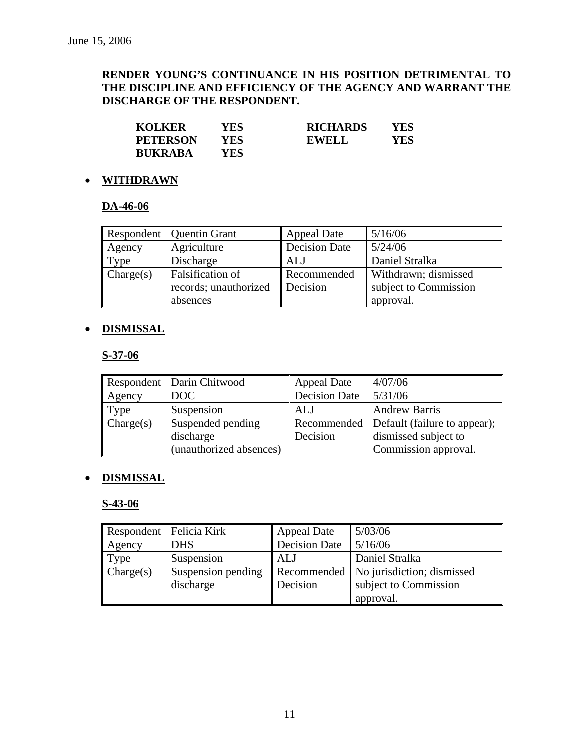## **RENDER YOUNG'S CONTINUANCE IN HIS POSITION DETRIMENTAL TO THE DISCIPLINE AND EFFICIENCY OF THE AGENCY AND WARRANT THE DISCHARGE OF THE RESPONDENT.**

| <b>KOLKER</b>   | YES | <b>RICHARDS</b> | YES |
|-----------------|-----|-----------------|-----|
| <b>PETERSON</b> | YES | <b>EWELL</b>    | YES |
| <b>BUKRABA</b>  | YES |                 |     |

## • **WITHDRAWN**

## **DA-46-06**

|           | Respondent   Quentin Grant | 5/16/06<br><b>Appeal Date</b> |                       |  |
|-----------|----------------------------|-------------------------------|-----------------------|--|
| Agency    | Agriculture                | <b>Decision Date</b>          | 5/24/06               |  |
| Type      | Discharge                  | <b>ALJ</b>                    | Daniel Stralka        |  |
| Change(s) | Falsification of           | Recommended                   | Withdrawn; dismissed  |  |
|           | records; unauthorized      | Decision                      | subject to Commission |  |
|           | absences                   |                               | approval.             |  |

## • **DISMISSAL**

## **S-37-06**

|           | Respondent   Darin Chitwood | <b>Appeal Date</b>   | 4/07/06                                    |
|-----------|-----------------------------|----------------------|--------------------------------------------|
| Agency    | DOC                         | <b>Decision Date</b> | 5/31/06                                    |
| Type      | Suspension                  | ALJ                  | <b>Andrew Barris</b>                       |
| Change(s) | Suspended pending           |                      | Recommended   Default (failure to appear); |
|           | discharge                   | Decision             | dismissed subject to                       |
|           | (unauthorized absences)     |                      | Commission approval.                       |

## • **DISMISSAL**

#### **S-43-06**

|           | Respondent   Felicia Kirk | <b>Appeal Date</b>   | 5/03/06                                  |
|-----------|---------------------------|----------------------|------------------------------------------|
| Agency    | <b>DHS</b>                | <b>Decision Date</b> | 5/16/06                                  |
| Type      | Suspension                | ALJ                  | Daniel Stralka                           |
| Change(s) | Suspension pending        |                      | Recommended   No jurisdiction; dismissed |
|           | discharge                 | Decision             | subject to Commission                    |
|           |                           |                      | approval.                                |